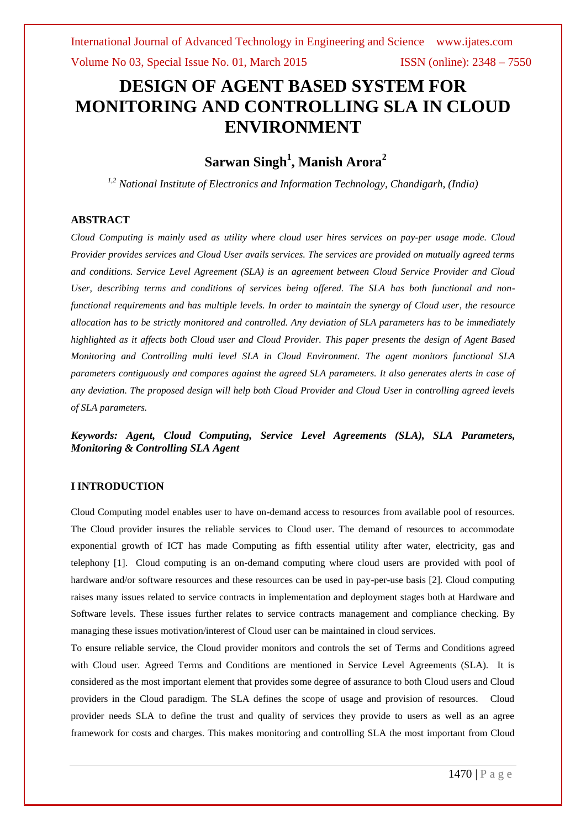# **DESIGN OF AGENT BASED SYSTEM FOR MONITORING AND CONTROLLING SLA IN CLOUD ENVIRONMENT**

## **Sarwan Singh<sup>1</sup> , Manish Arora<sup>2</sup>**

*1,2 National Institute of Electronics and Information Technology, Chandigarh, (India)*

### **ABSTRACT**

*Cloud Computing is mainly used as utility where cloud user hires services on pay-per usage mode. Cloud Provider provides services and Cloud User avails services. The services are provided on mutually agreed terms and conditions. Service Level Agreement (SLA) is an agreement between Cloud Service Provider and Cloud User, describing terms and conditions of services being offered. The SLA has both functional and nonfunctional requirements and has multiple levels. In order to maintain the synergy of Cloud user, the resource allocation has to be strictly monitored and controlled. Any deviation of SLA parameters has to be immediately highlighted as it affects both Cloud user and Cloud Provider. This paper presents the design of Agent Based Monitoring and Controlling multi level SLA in Cloud Environment. The agent monitors functional SLA parameters contiguously and compares against the agreed SLA parameters. It also generates alerts in case of any deviation. The proposed design will help both Cloud Provider and Cloud User in controlling agreed levels of SLA parameters.*

*Keywords: Agent, Cloud Computing, Service Level Agreements (SLA), SLA Parameters, Monitoring & Controlling SLA Agent*

### **I INTRODUCTION**

Cloud Computing model enables user to have on-demand access to resources from available pool of resources. The Cloud provider insures the reliable services to Cloud user. The demand of resources to accommodate exponential growth of ICT has made Computing as fifth essential utility after water, electricity, gas and telephony [1]. Cloud computing is an on-demand computing where cloud users are provided with pool of hardware and/or software resources and these resources can be used in pay-per-use basis [2]. Cloud computing raises many issues related to service contracts in implementation and deployment stages both at Hardware and Software levels. These issues further relates to service contracts management and compliance checking. By managing these issues motivation/interest of Cloud user can be maintained in cloud services.

To ensure reliable service, the Cloud provider monitors and controls the set of Terms and Conditions agreed with Cloud user. Agreed Terms and Conditions are mentioned in Service Level Agreements (SLA). It is considered as the most important element that provides some degree of assurance to both Cloud users and Cloud providers in the Cloud paradigm. The SLA defines the scope of usage and provision of resources. Cloud provider needs SLA to define the trust and quality of services they provide to users as well as an agree framework for costs and charges. This makes monitoring and controlling SLA the most important from Cloud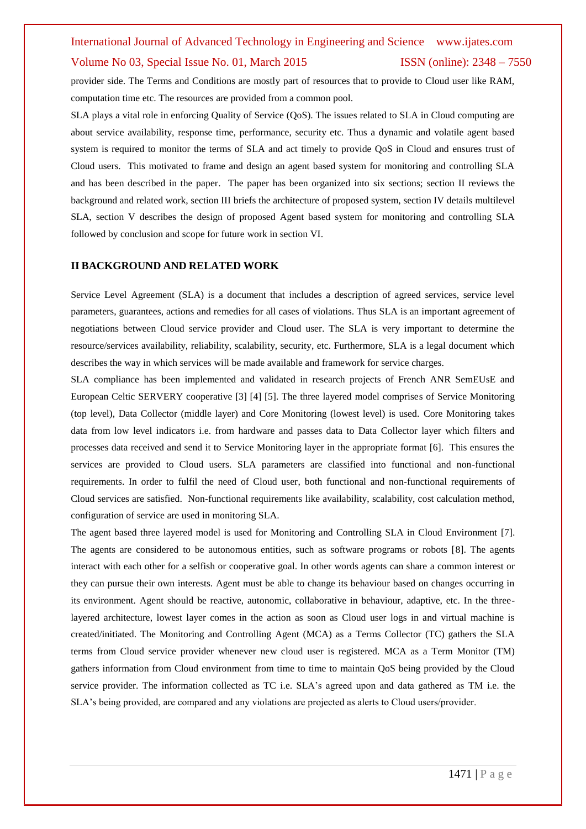provider side. The Terms and Conditions are mostly part of resources that to provide to Cloud user like RAM, computation time etc. The resources are provided from a common pool.

SLA plays a vital role in enforcing Quality of Service (QoS). The issues related to SLA in Cloud computing are about service availability, response time, performance, security etc. Thus a dynamic and volatile agent based system is required to monitor the terms of SLA and act timely to provide QoS in Cloud and ensures trust of Cloud users. This motivated to frame and design an agent based system for monitoring and controlling SLA and has been described in the paper. The paper has been organized into six sections; section II reviews the background and related work, section III briefs the architecture of proposed system, section IV details multilevel SLA, section V describes the design of proposed Agent based system for monitoring and controlling SLA followed by conclusion and scope for future work in section VI.

#### **II BACKGROUND AND RELATED WORK**

Service Level Agreement (SLA) is a document that includes a description of agreed services, service level parameters, guarantees, actions and remedies for all cases of violations. Thus SLA is an important agreement of negotiations between Cloud service provider and Cloud user. The SLA is very important to determine the resource/services availability, reliability, scalability, security, etc. Furthermore, SLA is a legal document which describes the way in which services will be made available and framework for service charges.

SLA compliance has been implemented and validated in research projects of French ANR SemEUsE and European Celtic SERVERY cooperative [3] [4] [5]. The three layered model comprises of Service Monitoring (top level), Data Collector (middle layer) and Core Monitoring (lowest level) is used. Core Monitoring takes data from low level indicators i.e. from hardware and passes data to Data Collector layer which filters and processes data received and send it to Service Monitoring layer in the appropriate format [6]. This ensures the services are provided to Cloud users. SLA parameters are classified into functional and non-functional requirements. In order to fulfil the need of Cloud user, both functional and non-functional requirements of Cloud services are satisfied. Non-functional requirements like availability, scalability, cost calculation method, configuration of service are used in monitoring SLA.

The agent based three layered model is used for Monitoring and Controlling SLA in Cloud Environment [7]. The agents are considered to be autonomous entities, such as software programs or robots [8]. The agents interact with each other for a selfish or cooperative goal. In other words agents can share a common interest or they can pursue their own interests. Agent must be able to change its behaviour based on changes occurring in its environment. Agent should be reactive, autonomic, collaborative in behaviour, adaptive, etc. In the threelayered architecture, lowest layer comes in the action as soon as Cloud user logs in and virtual machine is created/initiated. The Monitoring and Controlling Agent (MCA) as a Terms Collector (TC) gathers the SLA terms from Cloud service provider whenever new cloud user is registered. MCA as a Term Monitor (TM) gathers information from Cloud environment from time to time to maintain QoS being provided by the Cloud service provider. The information collected as TC i.e. SLA's agreed upon and data gathered as TM i.e. the SLA's being provided, are compared and any violations are projected as alerts to Cloud users/provider.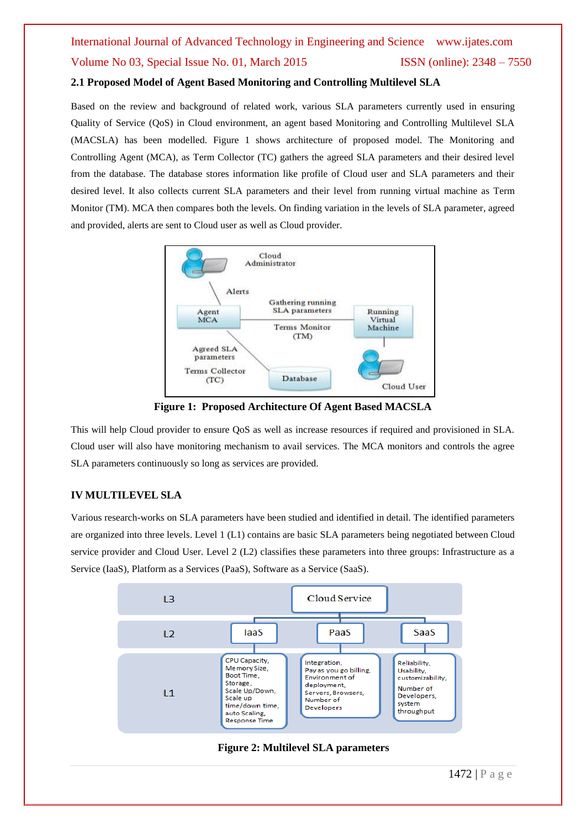## **2.1 Proposed Model of Agent Based Monitoring and Controlling Multilevel SLA**

Based on the review and background of related work, various SLA parameters currently used in ensuring Quality of Service (QoS) in Cloud environment, an agent based Monitoring and Controlling Multilevel SLA (MACSLA) has been modelled. Figure 1 shows architecture of proposed model. The Monitoring and Controlling Agent (MCA), as Term Collector (TC) gathers the agreed SLA parameters and their desired level from the database. The database stores information like profile of Cloud user and SLA parameters and their desired level. It also collects current SLA parameters and their level from running virtual machine as Term Monitor (TM). MCA then compares both the levels. On finding variation in the levels of SLA parameter, agreed and provided, alerts are sent to Cloud user as well as Cloud provider.



**Figure 1: Proposed Architecture Of Agent Based MACSLA**

This will help Cloud provider to ensure QoS as well as increase resources if required and provisioned in SLA. Cloud user will also have monitoring mechanism to avail services. The MCA monitors and controls the agree SLA parameters continuously so long as services are provided.

## **IV MULTILEVEL SLA**

Various research-works on SLA parameters have been studied and identified in detail. The identified parameters are organized into three levels. Level 1 (L1) contains are basic SLA parameters being negotiated between Cloud service provider and Cloud User. Level 2 (L2) classifies these parameters into three groups: Infrastructure as a Service (IaaS), Platform as a Services (PaaS), Software as a Service (SaaS).

![](_page_2_Figure_8.jpeg)

**Figure 2: Multilevel SLA parameters**

1472 | P a g e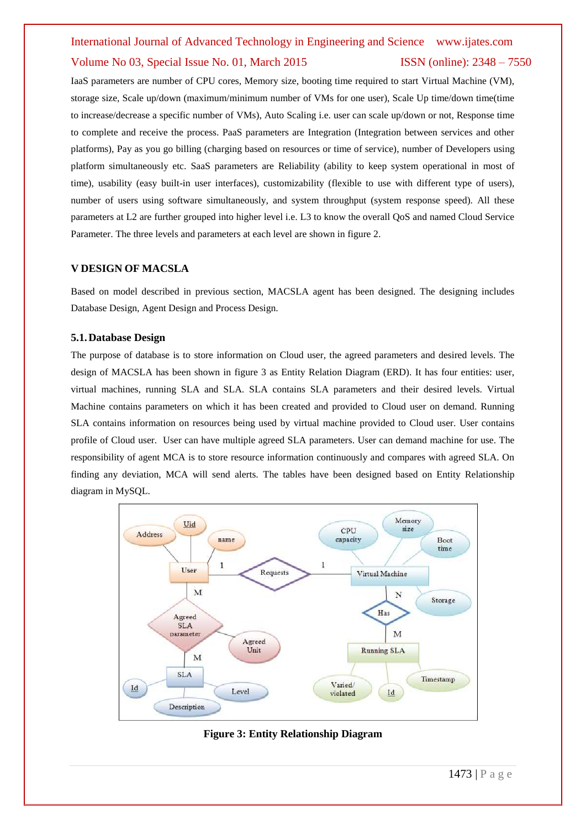IaaS parameters are number of CPU cores, Memory size, booting time required to start Virtual Machine (VM), storage size, Scale up/down (maximum/minimum number of VMs for one user), Scale Up time/down time(time to increase/decrease a specific number of VMs), Auto Scaling i.e. user can scale up/down or not, Response time to complete and receive the process. PaaS parameters are Integration (Integration between services and other platforms), Pay as you go billing (charging based on resources or time of service), number of Developers using platform simultaneously etc. SaaS parameters are Reliability (ability to keep system operational in most of time), usability (easy built-in user interfaces), customizability (flexible to use with different type of users), number of users using software simultaneously, and system throughput (system response speed). All these parameters at L2 are further grouped into higher level i.e. L3 to know the overall QoS and named Cloud Service Parameter. The three levels and parameters at each level are shown in figure 2.

#### **V DESIGN OF MACSLA**

Based on model described in previous section, MACSLA agent has been designed. The designing includes Database Design, Agent Design and Process Design.

#### **5.1.Database Design**

The purpose of database is to store information on Cloud user, the agreed parameters and desired levels. The design of MACSLA has been shown in figure 3 as Entity Relation Diagram (ERD). It has four entities: user, virtual machines, running SLA and SLA. SLA contains SLA parameters and their desired levels. Virtual Machine contains parameters on which it has been created and provided to Cloud user on demand. Running SLA contains information on resources being used by virtual machine provided to Cloud user. User contains profile of Cloud user. User can have multiple agreed SLA parameters. User can demand machine for use. The responsibility of agent MCA is to store resource information continuously and compares with agreed SLA. On finding any deviation, MCA will send alerts. The tables have been designed based on Entity Relationship diagram in MySQL.

![](_page_3_Figure_6.jpeg)

**Figure 3: Entity Relationship Diagram**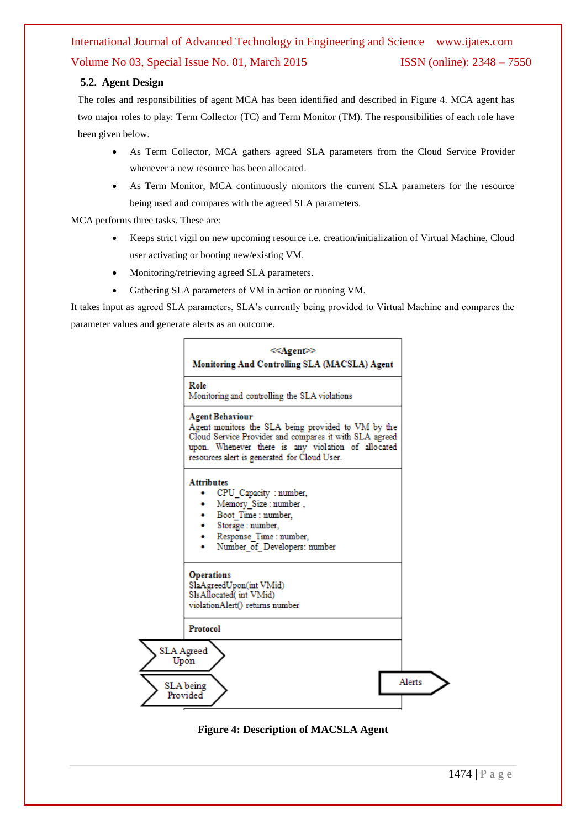### **5.2. Agent Design**

The roles and responsibilities of agent MCA has been identified and described in Figure 4. MCA agent has two major roles to play: Term Collector (TC) and Term Monitor (TM). The responsibilities of each role have been given below.

- As Term Collector, MCA gathers agreed SLA parameters from the Cloud Service Provider whenever a new resource has been allocated.
- As Term Monitor, MCA continuously monitors the current SLA parameters for the resource being used and compares with the agreed SLA parameters.

MCA performs three tasks. These are:

- Keeps strict vigil on new upcoming resource i.e. creation/initialization of Virtual Machine, Cloud user activating or booting new/existing VM.
- Monitoring/retrieving agreed SLA parameters.
- Gathering SLA parameters of VM in action or running VM.

It takes input as agreed SLA parameters, SLA's currently being provided to Virtual Machine and compares the parameter values and generate alerts as an outcome.

![](_page_4_Figure_10.jpeg)

### **Figure 4: Description of MACSLA Agent**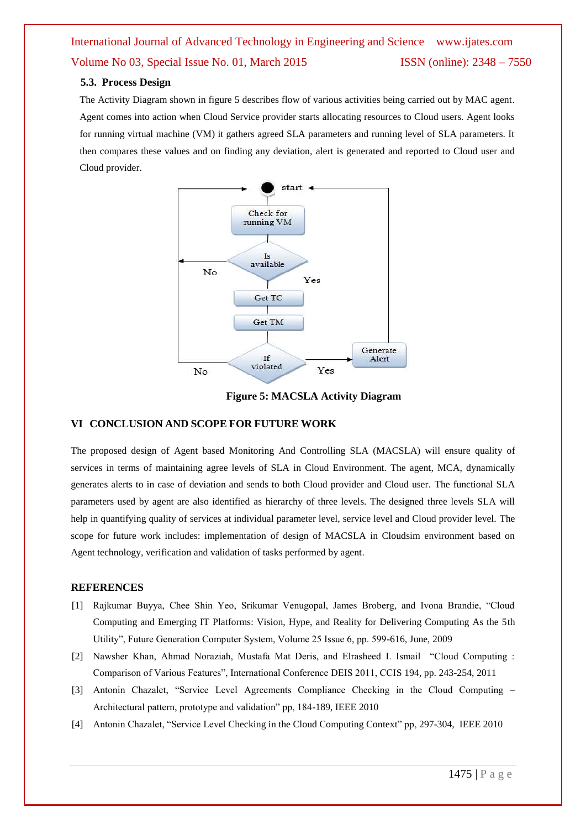#### **5.3. Process Design**

The Activity Diagram shown in figure 5 describes flow of various activities being carried out by MAC agent. Agent comes into action when Cloud Service provider starts allocating resources to Cloud users. Agent looks for running virtual machine (VM) it gathers agreed SLA parameters and running level of SLA parameters. It then compares these values and on finding any deviation, alert is generated and reported to Cloud user and Cloud provider.

![](_page_5_Figure_3.jpeg)

**Figure 5: MACSLA Activity Diagram**

#### **VI CONCLUSION AND SCOPE FOR FUTURE WORK**

The proposed design of Agent based Monitoring And Controlling SLA (MACSLA) will ensure quality of services in terms of maintaining agree levels of SLA in Cloud Environment. The agent, MCA, dynamically generates alerts to in case of deviation and sends to both Cloud provider and Cloud user. The functional SLA parameters used by agent are also identified as hierarchy of three levels. The designed three levels SLA will help in quantifying quality of services at individual parameter level, service level and Cloud provider level. The scope for future work includes: implementation of design of MACSLA in Cloudsim environment based on Agent technology, verification and validation of tasks performed by agent.

#### **REFERENCES**

- [1] Rajkumar Buyya, Chee Shin Yeo, Srikumar Venugopal, James Broberg, and Ivona Brandie, "Cloud Computing and Emerging IT Platforms: Vision, Hype, and Reality for Delivering Computing As the 5th Utility", Future Generation Computer System, Volume 25 Issue 6, pp. 599-616, June, 2009
- [2] Nawsher Khan, Ahmad Noraziah, Mustafa Mat Deris, and Elrasheed I. Ismail "Cloud Computing : Comparison of Various Features", International Conference DEIS 2011, CCIS 194, pp. 243-254, 2011
- [3] Antonin Chazalet, "Service Level Agreements Compliance Checking in the Cloud Computing Architectural pattern, prototype and validation" pp, 184-189, IEEE 2010
- [4] Antonin Chazalet, "Service Level Checking in the Cloud Computing Context" pp, 297-304, IEEE 2010